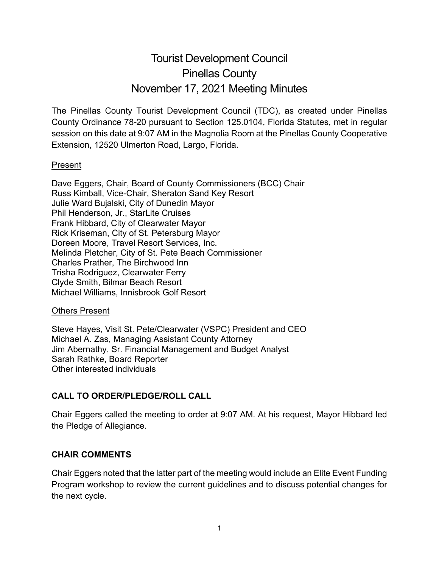# Tourist Development Council Pinellas County November 17, 2021 Meeting Minutes

The Pinellas County Tourist Development Council (TDC), as created under Pinellas County Ordinance 78-20 pursuant to Section 125.0104, Florida Statutes, met in regular session on this date at 9:07 AM in the Magnolia Room at the Pinellas County Cooperative Extension, 12520 Ulmerton Road, Largo, Florida.

## Present

Dave Eggers, Chair, Board of County Commissioners (BCC) Chair Russ Kimball, Vice-Chair, Sheraton Sand Key Resort Julie Ward Bujalski, City of Dunedin Mayor Phil Henderson, Jr., StarLite Cruises Frank Hibbard, City of Clearwater Mayor Rick Kriseman, City of St. Petersburg Mayor Doreen Moore, Travel Resort Services, Inc. Melinda Pletcher, City of St. Pete Beach Commissioner Charles Prather, The Birchwood Inn Trisha Rodriguez, Clearwater Ferry Clyde Smith, Bilmar Beach Resort Michael Williams, Innisbrook Golf Resort

#### Others Present

Steve Hayes, Visit St. Pete/Clearwater (VSPC) President and CEO Michael A. Zas, Managing Assistant County Attorney Jim Abernathy, Sr. Financial Management and Budget Analyst Sarah Rathke, Board Reporter Other interested individuals

# **CALL TO ORDER/PLEDGE/ROLL CALL**

Chair Eggers called the meeting to order at 9:07 AM. At his request, Mayor Hibbard led the Pledge of Allegiance.

# **CHAIR COMMENTS**

Chair Eggers noted that the latter part of the meeting would include an Elite Event Funding Program workshop to review the current guidelines and to discuss potential changes for the next cycle.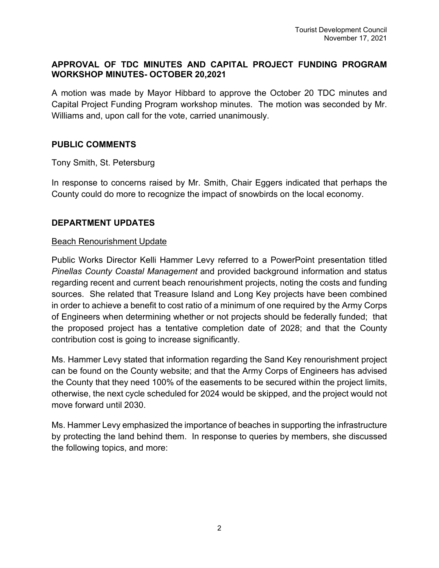## **APPROVAL OF TDC MINUTES AND CAPITAL PROJECT FUNDING PROGRAM WORKSHOP MINUTES- OCTOBER 20,2021**

A motion was made by Mayor Hibbard to approve the October 20 TDC minutes and Capital Project Funding Program workshop minutes. The motion was seconded by Mr. Williams and, upon call for the vote, carried unanimously.

#### **PUBLIC COMMENTS**

Tony Smith, St. Petersburg

In response to concerns raised by Mr. Smith, Chair Eggers indicated that perhaps the County could do more to recognize the impact of snowbirds on the local economy.

## **DEPARTMENT UPDATES**

#### Beach Renourishment Update

Public Works Director Kelli Hammer Levy referred to a PowerPoint presentation titled *Pinellas County Coastal Management* and provided background information and status regarding recent and current beach renourishment projects, noting the costs and funding sources. She related that Treasure Island and Long Key projects have been combined in order to achieve a benefit to cost ratio of a minimum of one required by the Army Corps of Engineers when determining whether or not projects should be federally funded; that the proposed project has a tentative completion date of 2028; and that the County contribution cost is going to increase significantly.

Ms. Hammer Levy stated that information regarding the Sand Key renourishment project can be found on the County website; and that the Army Corps of Engineers has advised the County that they need 100% of the easements to be secured within the project limits, otherwise, the next cycle scheduled for 2024 would be skipped, and the project would not move forward until 2030.

Ms. Hammer Levy emphasized the importance of beaches in supporting the infrastructure by protecting the land behind them. In response to queries by members, she discussed the following topics, and more: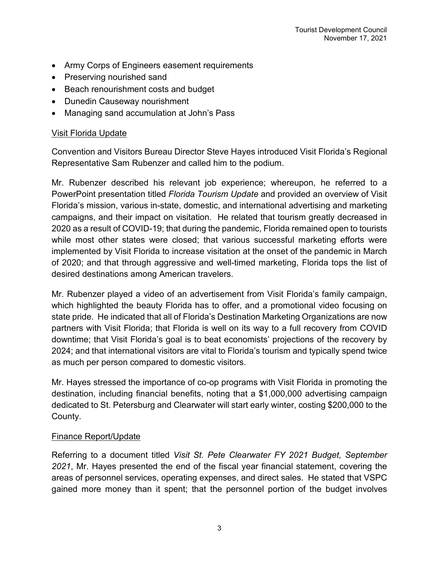- Army Corps of Engineers easement requirements
- Preserving nourished sand
- Beach renourishment costs and budget
- Dunedin Causeway nourishment
- Managing sand accumulation at John's Pass

# Visit Florida Update

Convention and Visitors Bureau Director Steve Hayes introduced Visit Florida's Regional Representative Sam Rubenzer and called him to the podium.

Mr. Rubenzer described his relevant job experience; whereupon, he referred to a PowerPoint presentation titled *Florida Tourism Update* and provided an overview of Visit Florida's mission, various in-state, domestic, and international advertising and marketing campaigns, and their impact on visitation. He related that tourism greatly decreased in 2020 as a result of COVID-19; that during the pandemic, Florida remained open to tourists while most other states were closed; that various successful marketing efforts were implemented by Visit Florida to increase visitation at the onset of the pandemic in March of 2020; and that through aggressive and well-timed marketing, Florida tops the list of desired destinations among American travelers.

Mr. Rubenzer played a video of an advertisement from Visit Florida's family campaign, which highlighted the beauty Florida has to offer, and a promotional video focusing on state pride. He indicated that all of Florida's Destination Marketing Organizations are now partners with Visit Florida; that Florida is well on its way to a full recovery from COVID downtime; that Visit Florida's goal is to beat economists' projections of the recovery by 2024; and that international visitors are vital to Florida's tourism and typically spend twice as much per person compared to domestic visitors.

Mr. Hayes stressed the importance of co-op programs with Visit Florida in promoting the destination, including financial benefits, noting that a \$1,000,000 advertising campaign dedicated to St. Petersburg and Clearwater will start early winter, costing \$200,000 to the County.

# Finance Report/Update

Referring to a document titled *Visit St. Pete Clearwater FY 2021 Budget, September 2021*, Mr. Hayes presented the end of the fiscal year financial statement, covering the areas of personnel services, operating expenses, and direct sales. He stated that VSPC gained more money than it spent; that the personnel portion of the budget involves